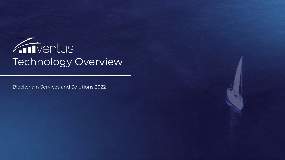

Blockchain Services and Solutions 2022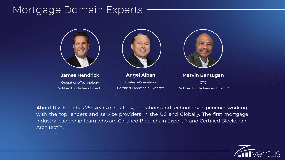## Mortgage Domain Experts



#### **James Hendrick** Operations/Technology

Certified Blockchain Expert™



**Angel Alban** Strategy/Operations

Certified Blockchain Expert™



| <b>Marvin Bantugan</b>          |  |
|---------------------------------|--|
| CTO.                            |  |
| Certified Blockchain Architect™ |  |

**About Us:** Each has 25+ years of strategy, operations and technology experience working with the top lenders and service providers in the US and Globally. The first mortgage industry leadership team who are Certified Blockchain Expert™ and Certified Blockchain Architect™.

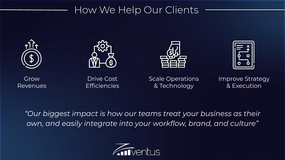## How We Help Our Clients









Grow Revenues

Drive Cost **Efficiencies** 

Scale Operations & Technology

Improve Strategy & Execution

*"Our biggest impact is how our teams treat your business as their own, and easily integrate into your workflow, brand, and culture"*

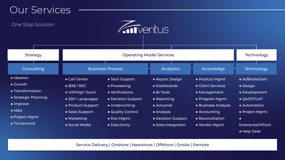## Our Services

#### *One Stop Solution*



| <b>Strategy</b>                                                                                                                                    |                                                                                                                                                       | Technology                                                                                                                                   |                                                                                                                                       |                                                                                                                                                   |                                                                                                                                                 |
|----------------------------------------------------------------------------------------------------------------------------------------------------|-------------------------------------------------------------------------------------------------------------------------------------------------------|----------------------------------------------------------------------------------------------------------------------------------------------|---------------------------------------------------------------------------------------------------------------------------------------|---------------------------------------------------------------------------------------------------------------------------------------------------|-------------------------------------------------------------------------------------------------------------------------------------------------|
| Consulting                                                                                                                                         |                                                                                                                                                       | <b>Business Process</b>                                                                                                                      | Analytics                                                                                                                             | Knowledge                                                                                                                                         | Technology                                                                                                                                      |
| • Ideation<br>$\bullet$ Growth<br>• Transformation<br>• Strategic Planning<br>$\bullet$ Improve<br>$\bullet$ M&A<br>• Project Mgmt<br>• Turnaround | • Call Center<br>$\bullet$ B2B / B2C<br>• VIP/High Touch<br>• 220+ Languages<br>• Product Support<br>• Sales Support<br>• Marketing<br>• Social Media | • Tech Support<br>• Processing<br>• Verifications<br>• Decision Support<br>• Underwriting<br>• Quality Control<br>• Doc Mgmt<br>• Data Entry | • Report Design<br>• Dashboards<br>• BI Tools<br>• Reporting<br>• Actuarial<br>• Analysis<br>• Decision Support<br>• Data Integration | • Product Mgmt<br>• Client Services<br>• Management<br>• Program Mgmt<br>• Business Analysis<br>• Accounting<br>• Reconciliation<br>• Vendor Mamt | • Al/Blockchain<br>$\bullet$ Design<br>• Development<br><b>• QA/SIT/UAT</b><br>• Automation<br>• Project Mgmt<br>$\bullet$<br>Enterprise/HiTech |

Service Delivery | Onshore | Nearshore | Offshore | Onsite | Remote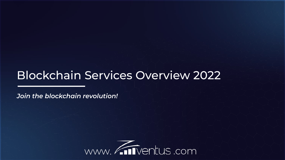# Blockchain Services Overview 2022

*Join the blockchain revolution!*

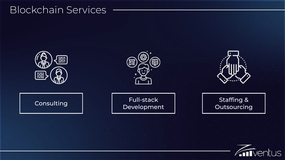## Blockchain Services



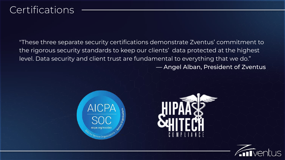## **Certifications**

"These three separate security certifications demonstrate Zventus' commitment to the rigorous security standards to keep our clients' data protected at the highest level. Data security and client trust are fundamental to everything that we do." — Angel Alban, President of Zventus





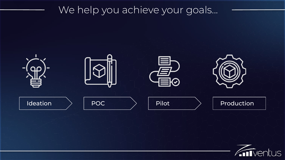# We help you achieve your goals...



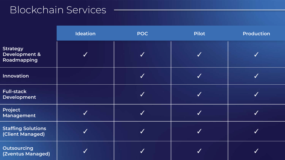# Blockchain Services

|                                                            | <b>Ideation</b> | <b>POC</b>       | <b>Pilot</b> | <b>Production</b> |
|------------------------------------------------------------|-----------------|------------------|--------------|-------------------|
| <b>Strategy</b><br><b>Development &amp;</b><br>Roadmapping |                 | ✔                | $\checkmark$ |                   |
| Innovation                                                 |                 |                  | $\checkmark$ |                   |
| <b>Full-stack</b><br>Development                           |                 | $\boldsymbol{J}$ | ✓            |                   |
| Project<br>Management                                      |                 | $\boldsymbol{J}$ | $\checkmark$ |                   |
| <b>Staffing Solutions</b><br>(Client Managed)              |                 |                  | $\checkmark$ |                   |
| <b>Outsourcing</b><br>(Zventus Managed)                    |                 |                  |              |                   |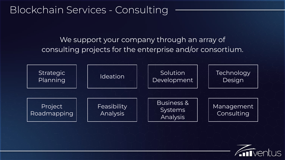## Blockchain Services - Consulting

## We support your company through an array of consulting projects for the enterprise and/or consortium.



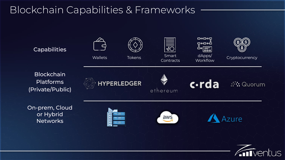# Blockchain Capabilities & Frameworks

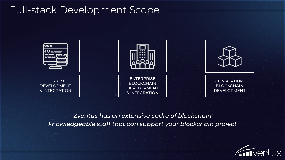## Full-stack Development Scope



*Zventus has an extensive cadre of blockchain knowledgeable staff that can support your blockchain project*

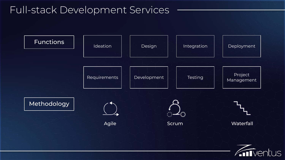## Full-stack Development Services

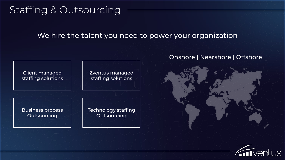## Staffing & Outsourcing

We hire the talent you need to power your organization



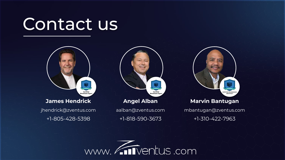# Contact us



**Angel Alban** aalban@zventus.com **Marvin Bantugan**

ERTIFIED BLOCKCH

**ARCHITECT** 

mbantugan@zventus.com

+1-310-422-7963

+1-818-590-3673



+1-805-428-5398